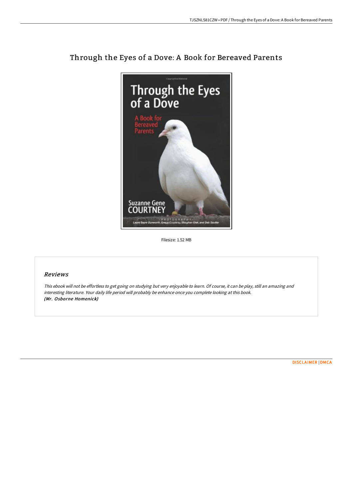

## Through the Eyes of a Dove: A Book for Bereaved Parents

Filesize: 1.52 MB

## Reviews

This ebook will not be effortless to get going on studying but very enjoyable to learn. Of course, it can be play, still an amazing and interesting literature. Your daily life period will probably be enhance once you complete looking at this book. (Mr. Osborne Homenick)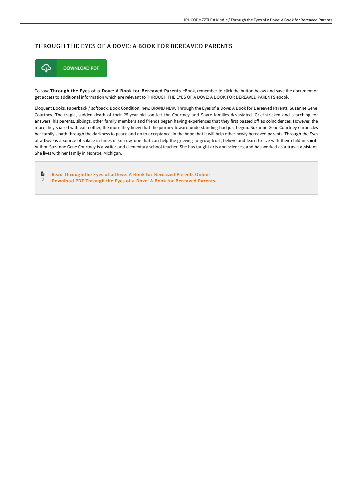## THROUGH THE EYES OF A DOVE: A BOOK FOR BEREAVED PARENTS



To save Through the Eyes of a Dove: A Book for Bereaved Parents eBook, remember to click the button below and save the document or get access to additional information which are relevant to THROUGH THE EYES OF A DOVE: A BOOK FOR BEREAVED PARENTS ebook.

Eloquent Books. Paperback / softback. Book Condition: new. BRAND NEW, Through the Eyes of a Dove: A Book for Bereaved Parents, Suzanne Gene Courtney, The tragic, sudden death of their 25-year-old son left the Courtney and Sayre families devastated. Grief-stricken and searching for answers, his parents, siblings, other family members and friends began having experiences that they first passed off as coincidences. However, the more they shared with each other, the more they knew that the journey toward understanding had just begun. Suzanne Gene Courtney chronicles her family's path through the darkness to peace and on to acceptance, in the hope that it will help other newly bereaved parents. Through the Eyes of a Dove is a source of solace in times of sorrow, one that can help the grieving to grow, trust, believe and learn to live with their child in spirit. Author Suzanne Gene Courtney is a writer and elementary school teacher. She has taught arts and sciences, and has worked as a travel assistant. She lives with her family in Monroe, Michigan.

B Read Through the Eyes of a Dove: A Book for [Bereaved](http://digilib.live/through-the-eyes-of-a-dove-a-book-for-bereaved-p.html) Parents Online  $\ensuremath{\boxdot}$ [Download](http://digilib.live/through-the-eyes-of-a-dove-a-book-for-bereaved-p.html) PDF Through the Eyes of a Dove: A Book for Bereaved Parents